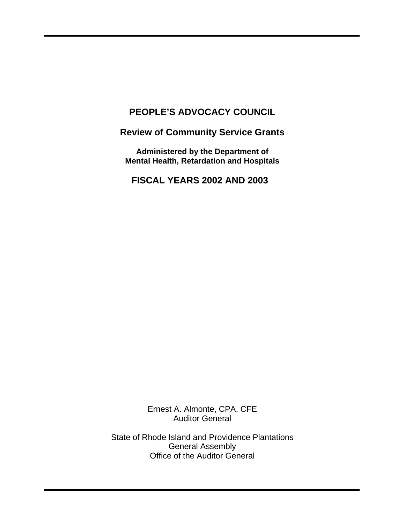# **PEOPLE'S ADVOCACY COUNCIL**

**Review of Community Service Grants** 

**Administered by the Department of Mental Health, Retardation and Hospitals** 

**FISCAL YEARS 2002 AND 2003** 

Ernest A. Almonte, CPA, CFE Auditor General

State of Rhode Island and Providence Plantations General Assembly Office of the Auditor General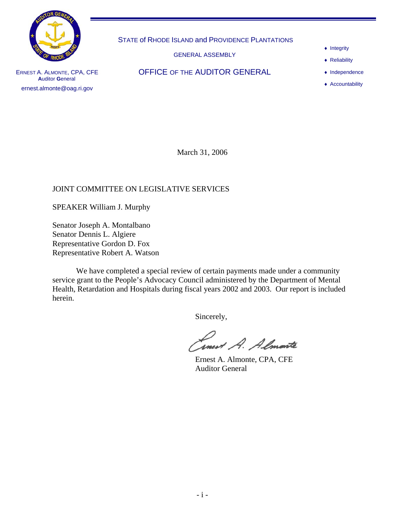

STATE of RHODE ISLAND and PROVIDENCE PLANTATIONS

GENERAL ASSEMBLY

- ♦ Integrity
- ♦ Reliability

♦ Independence

♦ Accountability

ERNEST A. ALMONTE, CPA, CFE **A**uditor **G**eneral ernest.almonte@oag.ri.gov

OFFICE OF THE AUDITOR GENERAL

March 31, 2006

## JOINT COMMITTEE ON LEGISLATIVE SERVICES

SPEAKER William J. Murphy

Senator Joseph A. Montalbano Senator Dennis L. Algiere Representative Gordon D. Fox Representative Robert A. Watson

We have completed a special review of certain payments made under a community service grant to the People's Advocacy Council administered by the Department of Mental Health, Retardation and Hospitals during fiscal years 2002 and 2003. Our report is included herein.

Sincerely,

Inest A. Almonte

 Ernest A. Almonte, CPA, CFE Auditor General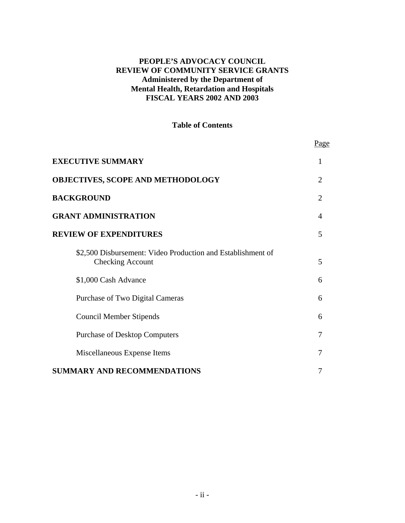#### **PEOPLE'S ADVOCACY COUNCIL REVIEW OF COMMUNITY SERVICE GRANTS Administered by the Department of Mental Health, Retardation and Hospitals FISCAL YEARS 2002 AND 2003**

#### **Table of Contents**

|                                                                                        | <u>Page</u>              |
|----------------------------------------------------------------------------------------|--------------------------|
| <b>EXECUTIVE SUMMARY</b>                                                               |                          |
| <b>OBJECTIVES, SCOPE AND METHODOLOGY</b>                                               | $\mathcal{D}_{\cdot}$    |
| <b>BACKGROUND</b>                                                                      | $\overline{2}$           |
| <b>GRANT ADMINISTRATION</b>                                                            | $\boldsymbol{\varDelta}$ |
| <b>REVIEW OF EXPENDITURES</b>                                                          | 5                        |
| \$2,500 Disbursement: Video Production and Establishment of<br><b>Checking Account</b> | 5                        |
| \$1,000 Cash Advance                                                                   | 6                        |
| Purchase of Two Digital Cameras                                                        | 6                        |
| <b>Council Member Stipends</b>                                                         | 6                        |
| <b>Purchase of Desktop Computers</b>                                                   | 7                        |
| Miscellaneous Expense Items                                                            | 7                        |
| <b>SUMMARY AND RECOMMENDATIONS</b>                                                     | 7                        |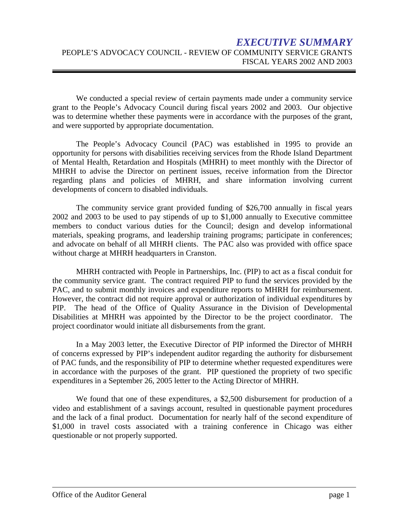# *EXECUTIVE SUMMARY*  PEOPLE'S ADVOCACY COUNCIL - REVIEW OF COMMUNITY SERVICE GRANTS FISCAL YEARS 2002 AND 2003

We conducted a special review of certain payments made under a community service grant to the People's Advocacy Council during fiscal years 2002 and 2003. Our objective was to determine whether these payments were in accordance with the purposes of the grant, and were supported by appropriate documentation.

The People's Advocacy Council (PAC) was established in 1995 to provide an opportunity for persons with disabilities receiving services from the Rhode Island Department of Mental Health, Retardation and Hospitals (MHRH) to meet monthly with the Director of MHRH to advise the Director on pertinent issues, receive information from the Director regarding plans and policies of MHRH, and share information involving current developments of concern to disabled individuals.

The community service grant provided funding of \$26,700 annually in fiscal years 2002 and 2003 to be used to pay stipends of up to \$1,000 annually to Executive committee members to conduct various duties for the Council; design and develop informational materials, speaking programs, and leadership training programs; participate in conferences; and advocate on behalf of all MHRH clients. The PAC also was provided with office space without charge at MHRH headquarters in Cranston.

MHRH contracted with People in Partnerships, Inc. (PIP) to act as a fiscal conduit for the community service grant. The contract required PIP to fund the services provided by the PAC, and to submit monthly invoices and expenditure reports to MHRH for reimbursement. However, the contract did not require approval or authorization of individual expenditures by PIP. The head of the Office of Quality Assurance in the Division of Developmental Disabilities at MHRH was appointed by the Director to be the project coordinator. The project coordinator would initiate all disbursements from the grant.

In a May 2003 letter, the Executive Director of PIP informed the Director of MHRH of concerns expressed by PIP's independent auditor regarding the authority for disbursement of PAC funds, and the responsibility of PIP to determine whether requested expenditures were in accordance with the purposes of the grant. PIP questioned the propriety of two specific expenditures in a September 26, 2005 letter to the Acting Director of MHRH.

We found that one of these expenditures, a \$2,500 disbursement for production of a video and establishment of a savings account, resulted in questionable payment procedures and the lack of a final product. Documentation for nearly half of the second expenditure of \$1,000 in travel costs associated with a training conference in Chicago was either questionable or not properly supported.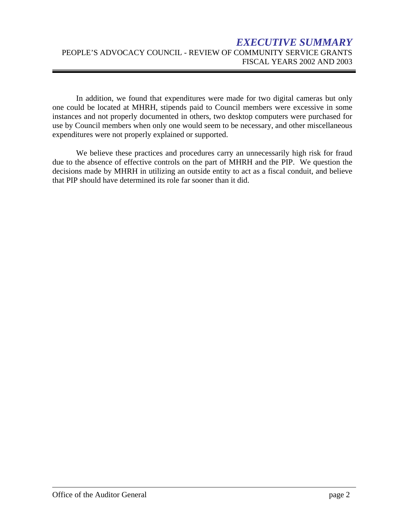# *EXECUTIVE SUMMARY*  PEOPLE'S ADVOCACY COUNCIL - REVIEW OF COMMUNITY SERVICE GRANTS FISCAL YEARS 2002 AND 2003

In addition, we found that expenditures were made for two digital cameras but only one could be located at MHRH, stipends paid to Council members were excessive in some instances and not properly documented in others, two desktop computers were purchased for use by Council members when only one would seem to be necessary, and other miscellaneous expenditures were not properly explained or supported.

We believe these practices and procedures carry an unnecessarily high risk for fraud due to the absence of effective controls on the part of MHRH and the PIP. We question the decisions made by MHRH in utilizing an outside entity to act as a fiscal conduit, and believe that PIP should have determined its role far sooner than it did.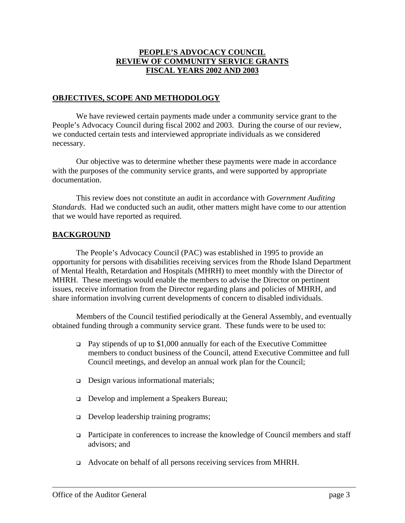#### **PEOPLE'S ADVOCACY COUNCIL REVIEW OF COMMUNITY SERVICE GRANTS FISCAL YEARS 2002 AND 2003**

#### **OBJECTIVES, SCOPE AND METHODOLOGY**

We have reviewed certain payments made under a community service grant to the People's Advocacy Council during fiscal 2002 and 2003. During the course of our review, we conducted certain tests and interviewed appropriate individuals as we considered necessary.

Our objective was to determine whether these payments were made in accordance with the purposes of the community service grants, and were supported by appropriate documentation.

This review does not constitute an audit in accordance with *Government Auditing Standards.* Had we conducted such an audit, other matters might have come to our attention that we would have reported as required.

## **BACKGROUND**

The People's Advocacy Council (PAC) was established in 1995 to provide an opportunity for persons with disabilities receiving services from the Rhode Island Department of Mental Health, Retardation and Hospitals (MHRH) to meet monthly with the Director of MHRH. These meetings would enable the members to advise the Director on pertinent issues, receive information from the Director regarding plans and policies of MHRH, and share information involving current developments of concern to disabled individuals.

Members of the Council testified periodically at the General Assembly, and eventually obtained funding through a community service grant. These funds were to be used to:

- $\Box$  Pay stipends of up to \$1,000 annually for each of the Executive Committee members to conduct business of the Council, attend Executive Committee and full Council meetings, and develop an annual work plan for the Council;
- Design various informational materials;
- Develop and implement a Speakers Bureau;
- Develop leadership training programs;
- $\Box$  Participate in conferences to increase the knowledge of Council members and staff advisors; and
- Advocate on behalf of all persons receiving services from MHRH.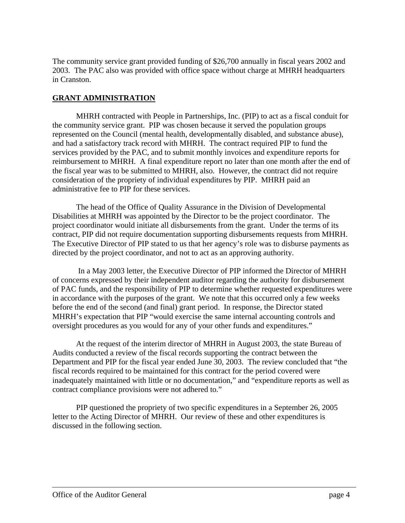The community service grant provided funding of \$26,700 annually in fiscal years 2002 and 2003. The PAC also was provided with office space without charge at MHRH headquarters in Cranston.

## **GRANT ADMINISTRATION**

MHRH contracted with People in Partnerships, Inc. (PIP) to act as a fiscal conduit for the community service grant. PIP was chosen because it served the population groups represented on the Council (mental health, developmentally disabled, and substance abuse), and had a satisfactory track record with MHRH. The contract required PIP to fund the services provided by the PAC, and to submit monthly invoices and expenditure reports for reimbursement to MHRH. A final expenditure report no later than one month after the end of the fiscal year was to be submitted to MHRH, also. However, the contract did not require consideration of the propriety of individual expenditures by PIP. MHRH paid an administrative fee to PIP for these services.

The head of the Office of Quality Assurance in the Division of Developmental Disabilities at MHRH was appointed by the Director to be the project coordinator. The project coordinator would initiate all disbursements from the grant. Under the terms of its contract, PIP did not require documentation supporting disbursements requests from MHRH. The Executive Director of PIP stated to us that her agency's role was to disburse payments as directed by the project coordinator, and not to act as an approving authority.

 In a May 2003 letter, the Executive Director of PIP informed the Director of MHRH of concerns expressed by their independent auditor regarding the authority for disbursement of PAC funds, and the responsibility of PIP to determine whether requested expenditures were in accordance with the purposes of the grant. We note that this occurred only a few weeks before the end of the second (and final) grant period. In response, the Director stated MHRH's expectation that PIP "would exercise the same internal accounting controls and oversight procedures as you would for any of your other funds and expenditures."

At the request of the interim director of MHRH in August 2003, the state Bureau of Audits conducted a review of the fiscal records supporting the contract between the Department and PIP for the fiscal year ended June 30, 2003. The review concluded that "the fiscal records required to be maintained for this contract for the period covered were inadequately maintained with little or no documentation," and "expenditure reports as well as contract compliance provisions were not adhered to."

PIP questioned the propriety of two specific expenditures in a September 26, 2005 letter to the Acting Director of MHRH. Our review of these and other expenditures is discussed in the following section.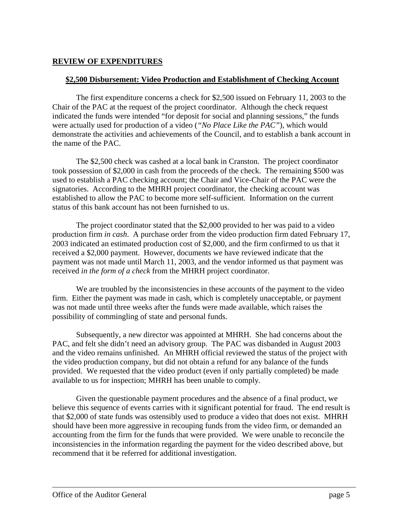#### **REVIEW OF EXPENDITURES**

#### **\$2,500 Disbursement: Video Production and Establishment of Checking Account**

The first expenditure concerns a check for \$2,500 issued on February 11, 2003 to the Chair of the PAC at the request of the project coordinator. Although the check request indicated the funds were intended "for deposit for social and planning sessions," the funds were actually used for production of a video (*"No Place Like the PAC"*), which would demonstrate the activities and achievements of the Council, and to establish a bank account in the name of the PAC.

The \$2,500 check was cashed at a local bank in Cranston. The project coordinator took possession of \$2,000 in cash from the proceeds of the check. The remaining \$500 was used to establish a PAC checking account; the Chair and Vice-Chair of the PAC were the signatories. According to the MHRH project coordinator, the checking account was established to allow the PAC to become more self-sufficient. Information on the current status of this bank account has not been furnished to us.

The project coordinator stated that the \$2,000 provided to her was paid to a video production firm *in cash*. A purchase order from the video production firm dated February 17, 2003 indicated an estimated production cost of \$2,000, and the firm confirmed to us that it received a \$2,000 payment. However, documents we have reviewed indicate that the payment was not made until March 11, 2003, and the vendor informed us that payment was received *in the form of a check* from the MHRH project coordinator.

We are troubled by the inconsistencies in these accounts of the payment to the video firm. Either the payment was made in cash, which is completely unacceptable, or payment was not made until three weeks after the funds were made available, which raises the possibility of commingling of state and personal funds.

Subsequently, a new director was appointed at MHRH. She had concerns about the PAC, and felt she didn't need an advisory group. The PAC was disbanded in August 2003 and the video remains unfinished. An MHRH official reviewed the status of the project with the video production company, but did not obtain a refund for any balance of the funds provided. We requested that the video product (even if only partially completed) be made available to us for inspection; MHRH has been unable to comply.

Given the questionable payment procedures and the absence of a final product, we believe this sequence of events carries with it significant potential for fraud. The end result is that \$2,000 of state funds was ostensibly used to produce a video that does not exist. MHRH should have been more aggressive in recouping funds from the video firm, or demanded an accounting from the firm for the funds that were provided. We were unable to reconcile the inconsistencies in the information regarding the payment for the video described above, but recommend that it be referred for additional investigation.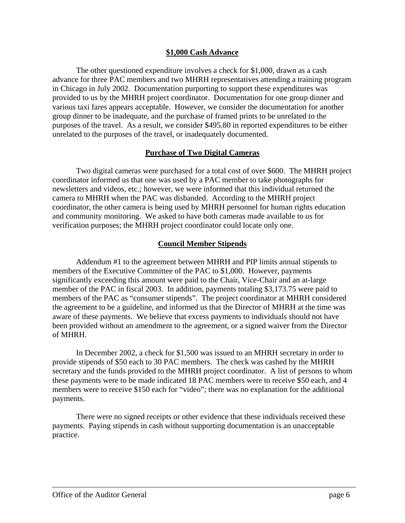#### **\$1,000 Cash Advance**

The other questioned expenditure involves a check for \$1,000, drawn as a cash advance for three PAC members and two MHRH representatives attending a training program in Chicago in July 2002. Documentation purporting to support these expenditures was provided to us by the MHRH project coordinator. Documentation for one group dinner and various taxi fares appears acceptable. However, we consider the documentation for another group dinner to be inadequate, and the purchase of framed prints to be unrelated to the purposes of the travel. As a result, we consider \$495.80 in reported expenditures to be either unrelated to the purposes of the travel, or inadequately documented.

#### **Purchase of Two Digital Cameras**

Two digital cameras were purchased for a total cost of over \$600. The MHRH project coordinator informed us that one was used by a PAC member to take photographs for newsletters and videos, etc.; however, we were informed that this individual returned the camera to MHRH when the PAC was disbanded. According to the MHRH project coordinator, the other camera is being used by MHRH personnel for human rights education and community monitoring. We asked to have both cameras made available to us for verification purposes; the MHRH project coordinator could locate only one.

#### **Council Member Stipends**

Addendum #1 to the agreement between MHRH and PIP limits annual stipends to members of the Executive Committee of the PAC to \$1,000. However, payments significantly exceeding this amount were paid to the Chair, Vice-Chair and an at-large member of the PAC in fiscal 2003. In addition, payments totaling \$3,173.75 were paid to members of the PAC as "consumer stipends". The project coordinator at MHRH considered the agreement to be a guideline, and informed us that the Director of MHRH at the time was aware of these payments. We believe that excess payments to individuals should not have been provided without an amendment to the agreement, or a signed waiver from the Director of MHRH.

In December 2002, a check for \$1,500 was issued to an MHRH secretary in order to provide stipends of \$50 each to 30 PAC members. The check was cashed by the MHRH secretary and the funds provided to the MHRH project coordinator. A list of persons to whom these payments were to be made indicated 18 PAC members were to receive \$50 each, and 4 members were to receive \$150 each for "video"; there was no explanation for the additional payments.

There were no signed receipts or other evidence that these individuals received these payments. Paying stipends in cash without supporting documentation is an unacceptable practice.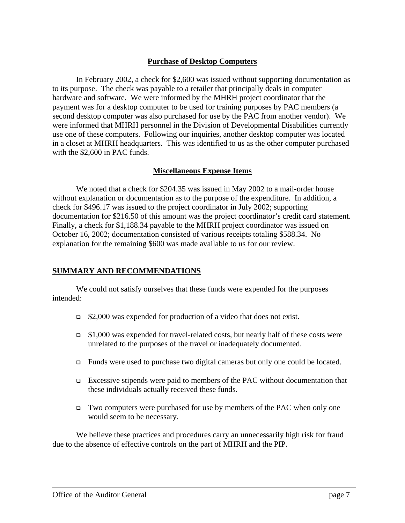#### **Purchase of Desktop Computers**

In February 2002, a check for \$2,600 was issued without supporting documentation as to its purpose. The check was payable to a retailer that principally deals in computer hardware and software. We were informed by the MHRH project coordinator that the payment was for a desktop computer to be used for training purposes by PAC members (a second desktop computer was also purchased for use by the PAC from another vendor). We were informed that MHRH personnel in the Division of Developmental Disabilities currently use one of these computers. Following our inquiries, another desktop computer was located in a closet at MHRH headquarters. This was identified to us as the other computer purchased with the \$2,600 in PAC funds.

#### **Miscellaneous Expense Items**

We noted that a check for \$204.35 was issued in May 2002 to a mail-order house without explanation or documentation as to the purpose of the expenditure. In addition, a check for \$496.17 was issued to the project coordinator in July 2002; supporting documentation for \$216.50 of this amount was the project coordinator's credit card statement. Finally, a check for \$1,188.34 payable to the MHRH project coordinator was issued on October 16, 2002; documentation consisted of various receipts totaling \$588.34. No explanation for the remaining \$600 was made available to us for our review.

#### **SUMMARY AND RECOMMENDATIONS**

We could not satisfy ourselves that these funds were expended for the purposes intended:

- \$2,000 was expended for production of a video that does not exist.
- $\Box$  \$1,000 was expended for travel-related costs, but nearly half of these costs were unrelated to the purposes of the travel or inadequately documented.
- Funds were used to purchase two digital cameras but only one could be located.
- Excessive stipends were paid to members of the PAC without documentation that these individuals actually received these funds.
- Two computers were purchased for use by members of the PAC when only one would seem to be necessary.

We believe these practices and procedures carry an unnecessarily high risk for fraud due to the absence of effective controls on the part of MHRH and the PIP.